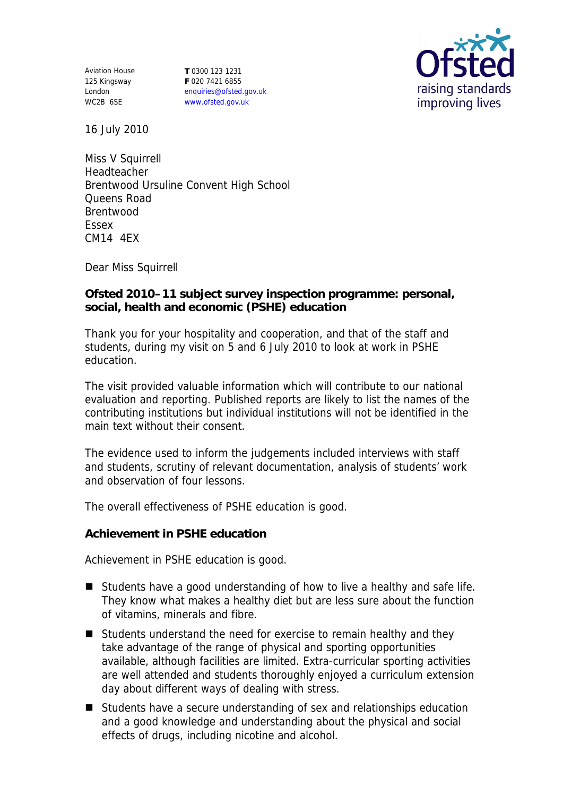Aviation House 125 Kingsway London WC2B 6SE

**T** 0300 123 1231 **F** 020 7421 6855 enquiries@ofsted.gov.uk www.ofsted.gov.uk



16 July 2010

Miss V Squirrell Headteacher Brentwood Ursuline Convent High School Queens Road Brentwood Essex CM14 4EX

Dear Miss Squirrell

**Ofsted 2010–11 subject survey inspection programme: personal, social, health and economic (PSHE) education**

Thank you for your hospitality and cooperation, and that of the staff and students, during my visit on 5 and 6 July 2010 to look at work in PSHE education.

The visit provided valuable information which will contribute to our national evaluation and reporting. Published reports are likely to list the names of the contributing institutions but individual institutions will not be identified in the main text without their consent.

The evidence used to inform the judgements included interviews with staff and students, scrutiny of relevant documentation, analysis of students' work and observation of four lessons.

The overall effectiveness of PSHE education is good.

**Achievement in PSHE education**

Achievement in PSHE education is good.

- Students have a good understanding of how to live a healthy and safe life. They know what makes a healthy diet but are less sure about the function of vitamins, minerals and fibre.
- Students understand the need for exercise to remain healthy and they take advantage of the range of physical and sporting opportunities available, although facilities are limited. Extra-curricular sporting activities are well attended and students thoroughly enjoyed a curriculum extension day about different ways of dealing with stress.
- Students have a secure understanding of sex and relationships education and a good knowledge and understanding about the physical and social effects of drugs, including nicotine and alcohol.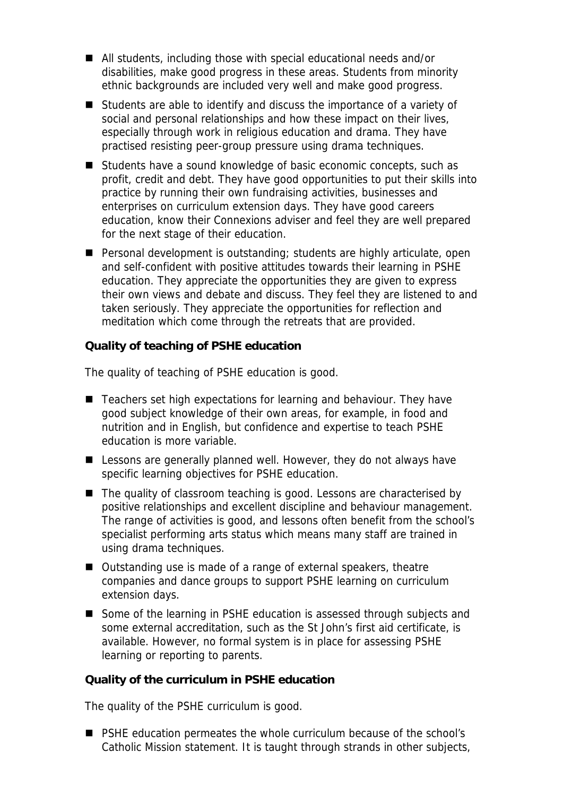- All students, including those with special educational needs and/or disabilities, make good progress in these areas. Students from minority ethnic backgrounds are included very well and make good progress.
- Students are able to identify and discuss the importance of a variety of social and personal relationships and how these impact on their lives, especially through work in religious education and drama. They have practised resisting peer-group pressure using drama techniques.
- Students have a sound knowledge of basic economic concepts, such as profit, credit and debt. They have good opportunities to put their skills into practice by running their own fundraising activities, businesses and enterprises on curriculum extension days. They have good careers education, know their Connexions adviser and feel they are well prepared for the next stage of their education.
- Personal development is outstanding; students are highly articulate, open and self-confident with positive attitudes towards their learning in PSHE education. They appreciate the opportunities they are given to express their own views and debate and discuss. They feel they are listened to and taken seriously. They appreciate the opportunities for reflection and meditation which come through the retreats that are provided.

**Quality of teaching of PSHE education**

The quality of teaching of PSHE education is good.

- Teachers set high expectations for learning and behaviour. They have good subject knowledge of their own areas, for example, in food and nutrition and in English, but confidence and expertise to teach PSHE education is more variable.
- **E** Lessons are generally planned well. However, they do not always have specific learning objectives for PSHE education.
- The quality of classroom teaching is good. Lessons are characterised by positive relationships and excellent discipline and behaviour management. The range of activities is good, and lessons often benefit from the school's specialist performing arts status which means many staff are trained in using drama techniques.
- Outstanding use is made of a range of external speakers, theatre companies and dance groups to support PSHE learning on curriculum extension days.
- Some of the learning in PSHE education is assessed through subjects and some external accreditation, such as the St John's first aid certificate, is available. However, no formal system is in place for assessing PSHE learning or reporting to parents.

**Quality of the curriculum in PSHE education**

The quality of the PSHE curriculum is good.

■ PSHE education permeates the whole curriculum because of the school's Catholic Mission statement. It is taught through strands in other subjects,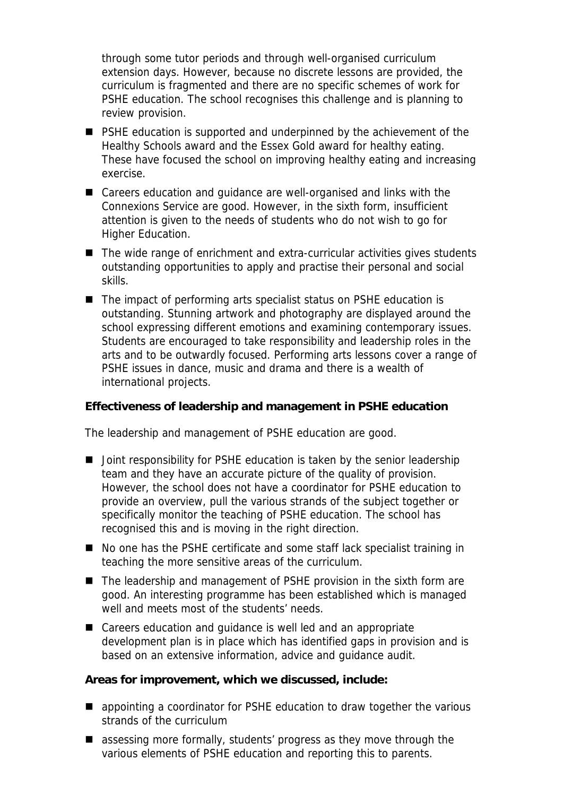through some tutor periods and through well-organised curriculum extension days. However, because no discrete lessons are provided, the curriculum is fragmented and there are no specific schemes of work for PSHE education. The school recognises this challenge and is planning to review provision.

- PSHE education is supported and underpinned by the achievement of the Healthy Schools award and the Essex Gold award for healthy eating. These have focused the school on improving healthy eating and increasing exercise.
- Careers education and quidance are well-organised and links with the Connexions Service are good. However, in the sixth form, insufficient attention is given to the needs of students who do not wish to go for Higher Education.
- The wide range of enrichment and extra-curricular activities gives students outstanding opportunities to apply and practise their personal and social skills.
- The impact of performing arts specialist status on PSHE education is outstanding. Stunning artwork and photography are displayed around the school expressing different emotions and examining contemporary issues. Students are encouraged to take responsibility and leadership roles in the arts and to be outwardly focused. Performing arts lessons cover a range of PSHE issues in dance, music and drama and there is a wealth of international projects.

**Effectiveness of leadership and management in PSHE education**

The leadership and management of PSHE education are good.

- Joint responsibility for PSHE education is taken by the senior leadership team and they have an accurate picture of the quality of provision. However, the school does not have a coordinator for PSHE education to provide an overview, pull the various strands of the subject together or specifically monitor the teaching of PSHE education. The school has recognised this and is moving in the right direction.
- No one has the PSHE certificate and some staff lack specialist training in teaching the more sensitive areas of the curriculum.
- The leadership and management of PSHE provision in the sixth form are good. An interesting programme has been established which is managed well and meets most of the students' needs.
- Careers education and guidance is well led and an appropriate development plan is in place which has identified gaps in provision and is based on an extensive information, advice and guidance audit.

**Areas for improvement, which we discussed, include:**

- appointing a coordinator for PSHE education to draw together the various strands of the curriculum
- assessing more formally, students' progress as they move through the various elements of PSHE education and reporting this to parents.